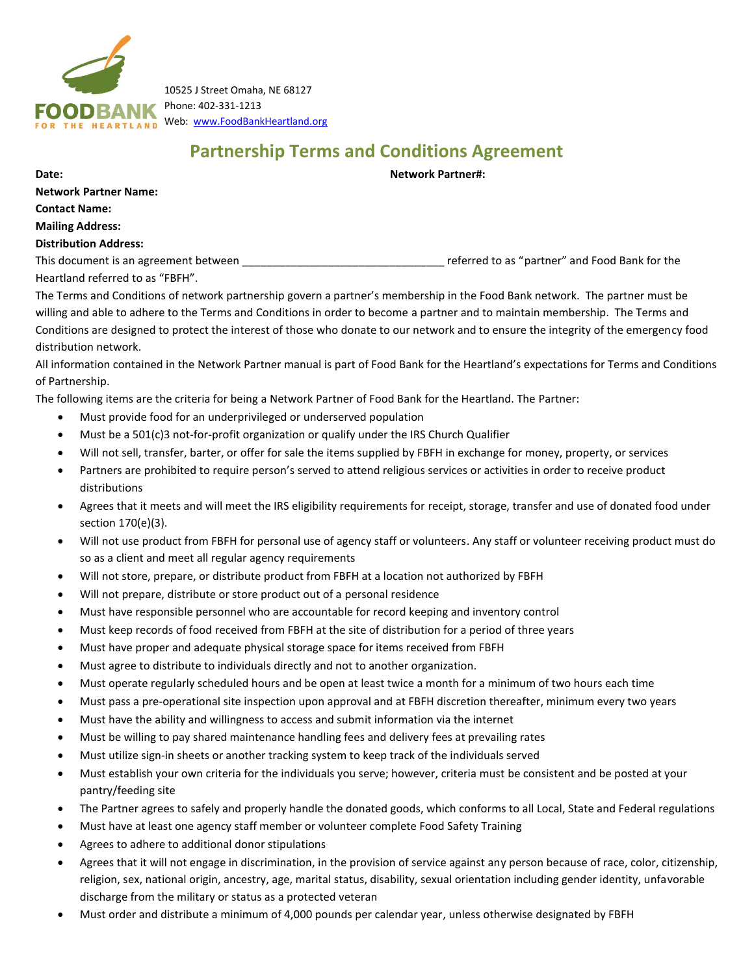

10525 J Street Omaha, NE 68127 Phone: 402-331-1213 HE HEARTLAND Web: [www.FoodBankHeartland.org](http://www.foodbankheartland.org/)

# **Partnership Terms and Conditions Agreement**

**Date: Network Partner#:** 

**Network Partner Name: Contact Name: Mailing Address:** 

### **Distribution Address:**

This document is an agreement between **we are all the set of the set of the set of the set of the set of the set of the set of the set of the set of the set of the set of the set of the set of the set of the set of the set** Heartland referred to as "FBFH".

The Terms and Conditions of network partnership govern a partner's membership in the Food Bank network. The partner must be willing and able to adhere to the Terms and Conditions in order to become a partner and to maintain membership. The Terms and Conditions are designed to protect the interest of those who donate to our network and to ensure the integrity of the emergency food distribution network.

All information contained in the Network Partner manual is part of Food Bank for the Heartland's expectations for Terms and Conditions of Partnership.

The following items are the criteria for being a Network Partner of Food Bank for the Heartland. The Partner:

- Must provide food for an underprivileged or underserved population
- Must be a 501(c)3 not-for-profit organization or qualify under the IRS Church Qualifier
- Will not sell, transfer, barter, or offer for sale the items supplied by FBFH in exchange for money, property, or services
- Partners are prohibited to require person's served to attend religious services or activities in order to receive product distributions
- Agrees that it meets and will meet the IRS eligibility requirements for receipt, storage, transfer and use of donated food under section 170(e)(3).
- Will not use product from FBFH for personal use of agency staff or volunteers. Any staff or volunteer receiving product must do so as a client and meet all regular agency requirements
- Will not store, prepare, or distribute product from FBFH at a location not authorized by FBFH
- Will not prepare, distribute or store product out of a personal residence
- Must have responsible personnel who are accountable for record keeping and inventory control
- Must keep records of food received from FBFH at the site of distribution for a period of three years
- Must have proper and adequate physical storage space for items received from FBFH
- Must agree to distribute to individuals directly and not to another organization.
- Must operate regularly scheduled hours and be open at least twice a month for a minimum of two hours each time
- Must pass a pre-operational site inspection upon approval and at FBFH discretion thereafter, minimum every two years
- Must have the ability and willingness to access and submit information via the internet
- Must be willing to pay shared maintenance handling fees and delivery fees at prevailing rates
- Must utilize sign-in sheets or another tracking system to keep track of the individuals served
- Must establish your own criteria for the individuals you serve; however, criteria must be consistent and be posted at your pantry/feeding site
- The Partner agrees to safely and properly handle the donated goods, which conforms to all Local, State and Federal regulations
- Must have at least one agency staff member or volunteer complete Food Safety Training
- Agrees to adhere to additional donor stipulations
- Agrees that it will not engage in discrimination, in the provision of service against any person because of race, color, citizenship, religion, sex, national origin, ancestry, age, marital status, disability, sexual orientation including gender identity, unfavorable discharge from the military or status as a protected veteran
- Must order and distribute a minimum of 4,000 pounds per calendar year, unless otherwise designated by FBFH